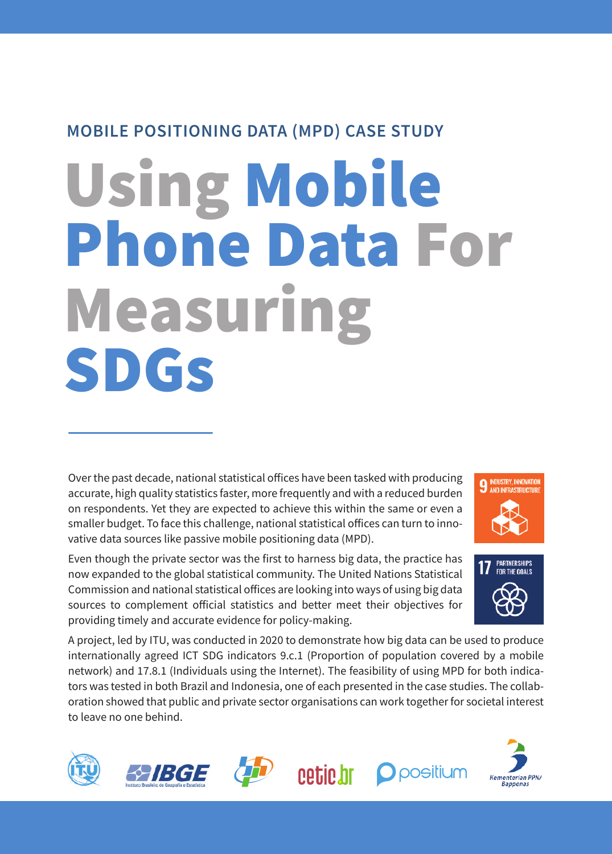## **MOBILE POSITIONING DATA (MPD) CASE STUDY**

# Using Mobile Phone Data For Measuring SDGs

Over the past decade, national statistical offices have been tasked with producing accurate, high quality statistics faster, more frequently and with a reduced burden on respondents. Yet they are expected to achieve this within the same or even a smaller budget. To face this challenge, national statistical offices can turn to innovative data sources like passive mobile positioning data (MPD).

Even though the private sector was the first to harness big data, the practice has now expanded to the global statistical community. The United Nations Statistical Commission and national statistical offices are looking into ways of using big data sources to complement official statistics and better meet their objectives for providing timely and accurate evidence for policy-making.





A project, led by ITU, was conducted in 2020 to demonstrate how big data can be used to produce internationally agreed ICT SDG indicators 9.c.1 (Proportion of population covered by a mobile network) and 17.8.1 (Individuals using the Internet). The feasibility of using MPD for both indicators was tested in both Brazil and Indonesia, one of each presented in the case studies. The collaboration showed that public and private sector organisations can work together for societal interest to leave no one behind.









**O** positium

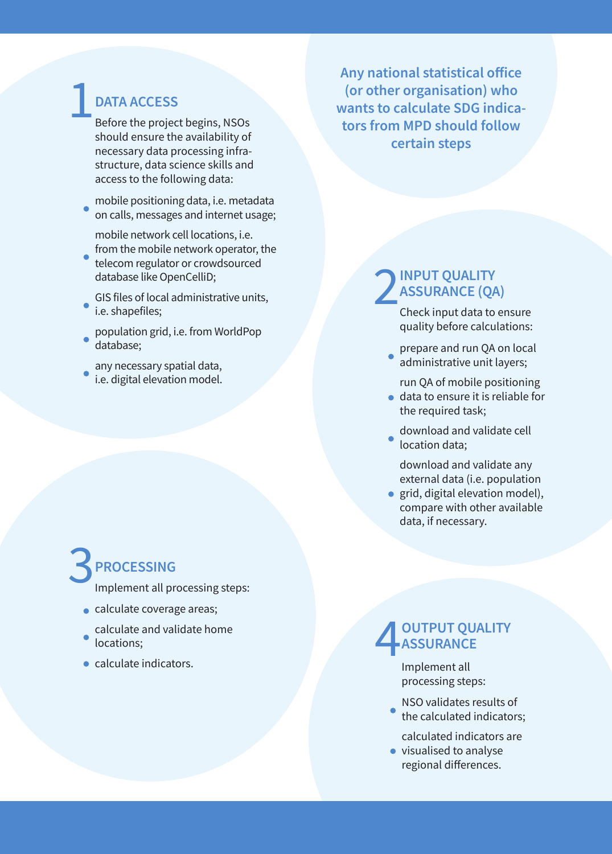## 1**DATA ACCESS**

Before the project begins, NSOs should ensure the availability of necessary data processing infrastructure, data science skills and access to the following data:

- mobile positioning data, i.e. metadata on calls, messages and internet usage;
	- mobile network cell locations, i.e. from the mobile network operator, the
- telecom regulator or crowdsourced database like OpenCelliD;
- GIS files of local administrative units, i.e. shapefiles;
- population grid, i.e. from WorldPop database;
- any necessary spatial data, i.e. digital elevation model.

# 3**PROCESSING**

Implement all processing steps:

- calculate coverage areas;
- calculate and validate home locations;
- calculate indicators.

**Any national statistical office (or other organisation) who wants to calculate SDG indicators from MPD should follow certain steps**

## **2 INPUT QUALITY**<br> **ASSURANCE (QA**<br>
Check input data to **ASSURANCE (QA)**

Check input data to ensure quality before calculations:

prepare and run QA on local administrative unit layers;

run QA of mobile positioning

- data to ensure it is reliable for the required task;
- download and validate cell location data;

download and validate any external data (i.e. population

• grid, digital elevation model), compare with other available data, if necessary.

#### 4**OUTPUT QUALITY ASSURANCE**

Implement all processing steps:

NSO validates results of the calculated indicators;

calculated indicators are

• visualised to analyse regional differences.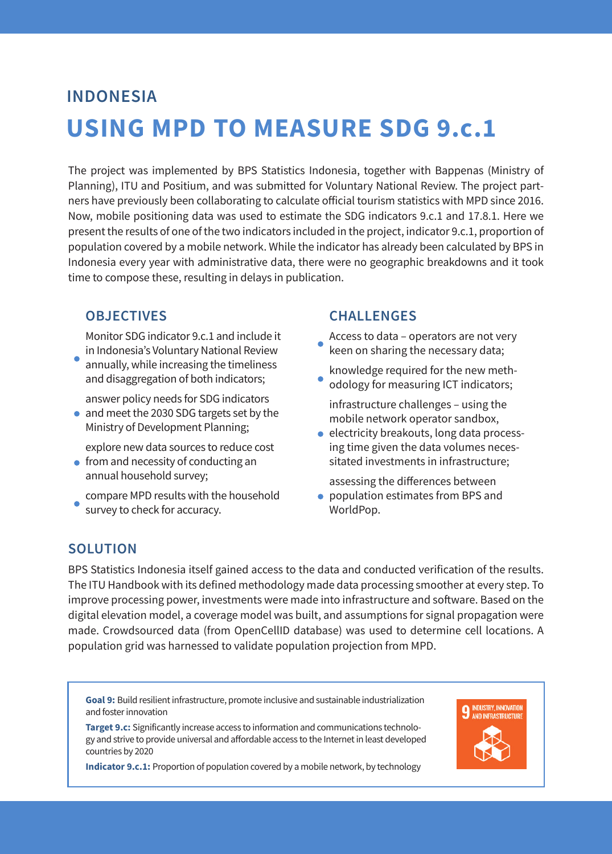## **USING MPD TO MEASURE SDG 9.c.1 INDONESIA**

The project was implemented by BPS Statistics Indonesia, together with Bappenas (Ministry of Planning), ITU and Positium, and was submitted for Voluntary National Review. The project partners have previously been collaborating to calculate official tourism statistics with MPD since 2016. Now, mobile positioning data was used to estimate the SDG indicators 9.c.1 and 17.8.1. Here we present the results of one of the two indicators included in the project, indicator 9.c.1, proportion of population covered by a mobile network. While the indicator has already been calculated by BPS in Indonesia every year with administrative data, there were no geographic breakdowns and it took time to compose these, resulting in delays in publication.

#### **OBJECTIVES**

Monitor SDG indicator 9.c.1 and include it in Indonesia's Voluntary National Review

annually, while increasing the timeliness and disaggregation of both indicators;

answer policy needs for SDG indicators

• and meet the 2030 SDG targets set by the Ministry of Development Planning;

explore new data sources to reduce cost

- $\bullet$  from and necessity of conducting an annual household survey;
- compare MPD results with the household survey to check for accuracy.

#### **CHALLENGES**

Access to data – operators are not very keen on sharing the necessary data;

knowledge required for the new methodology for measuring ICT indicators;

infrastructure challenges – using the mobile network operator sandbox,

**e** electricity breakouts, long data processing time given the data volumes necessitated investments in infrastructure;

assessing the differences between ● population estimates from BPS and WorldPop.

#### **SOLUTION**

BPS Statistics Indonesia itself gained access to the data and conducted verification of the results. The ITU Handbook with its defined methodology made data processing smoother at every step. To improve processing power, investments were made into infrastructure and software. Based on the digital elevation model, a coverage model was built, and assumptions for signal propagation were made. Crowdsourced data (from OpenCellID database) was used to determine cell locations. A population grid was harnessed to validate population projection from MPD.

**Goal 9:** Build resilient infrastructure, promote inclusive and sustainable industrialization and foster innovation

**Target 9.c:** Significantly increase access to information and communications technology and strive to provide universal and affordable access to the Internet in least developed countries by 2020

**Indicator 9.c.1:** Proportion of population covered by a mobile network, by technology

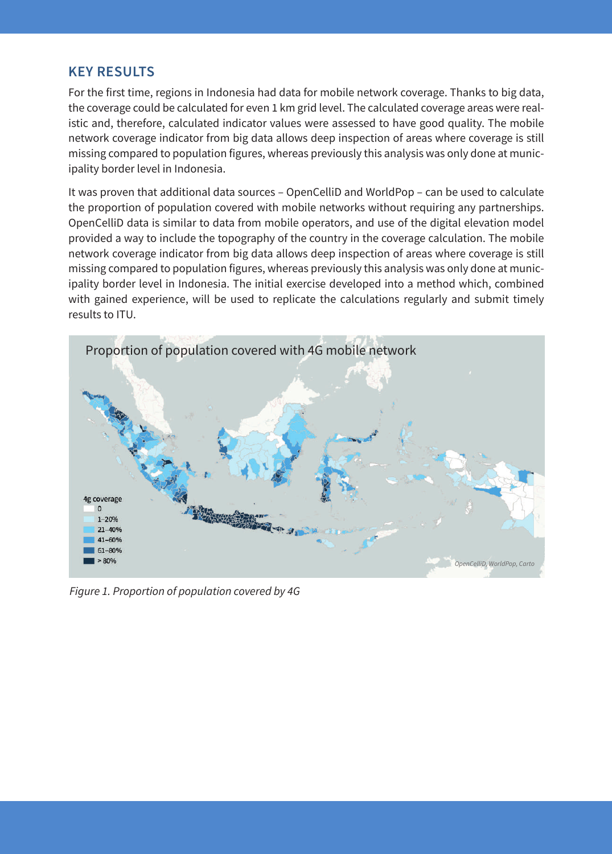#### **KEY RESULTS**

For the first time, regions in Indonesia had data for mobile network coverage. Thanks to big data, the coverage could be calculated for even 1 km grid level. The calculated coverage areas were realistic and, therefore, calculated indicator values were assessed to have good quality. The mobile network coverage indicator from big data allows deep inspection of areas where coverage is still missing compared to population figures, whereas previously this analysis was only done at municipality border level in Indonesia.

It was proven that additional data sources – OpenCelliD and WorldPop – can be used to calculate the proportion of population covered with mobile networks without requiring any partnerships. OpenCelliD data is similar to data from mobile operators, and use of the digital elevation model provided a way to include the topography of the country in the coverage calculation. The mobile network coverage indicator from big data allows deep inspection of areas where coverage is still missing compared to population figures, whereas previously this analysis was only done at municipality border level in Indonesia. The initial exercise developed into a method which, combined with gained experience, will be used to replicate the calculations regularly and submit timely results to ITU.



*Figure 1. Proportion of population covered by 4G*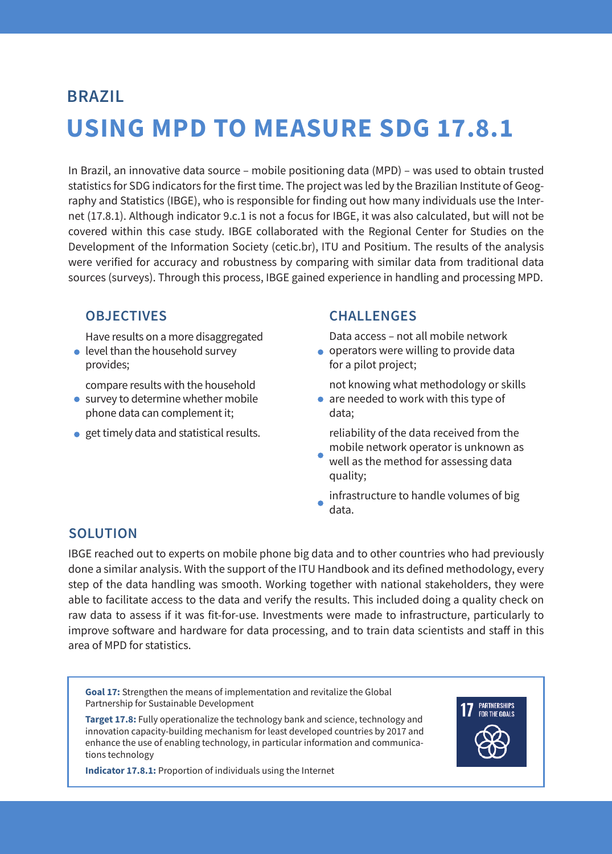# **USING MPD TO MEASURE SDG 17.8.1 BRAZIL**

In Brazil, an innovative data source – mobile positioning data (MPD) – was used to obtain trusted statistics for SDG indicators for the first time. The project was led by the Brazilian Institute of Geography and Statistics (IBGE), who is responsible for finding out how many individuals use the Internet (17.8.1). Although indicator 9.c.1 is not a focus for IBGE, it was also calculated, but will not be covered within this case study. IBGE collaborated with the Regional Center for Studies on the Development of the Information Society (cetic.br), ITU and Positium. The results of the analysis were verified for accuracy and robustness by comparing with similar data from traditional data sources (surveys). Through this process, IBGE gained experience in handling and processing MPD.

#### **OBJECTIVES**

Have results on a more disaggregated

● level than the household survey provides;

compare results with the household

- survey to determine whether mobile phone data can complement it;
- **e** get timely data and statistical results.

#### **CHALLENGES**

Data access – not all mobile network

operators were willing to provide data for a pilot project;

not knowing what methodology or skills

• are needed to work with this type of data;

reliability of the data received from the mobile network operator is unknown as

ă well as the method for assessing data quality;

infrastructure to handle volumes of big data.

#### **SOLUTION**

IBGE reached out to experts on mobile phone big data and to other countries who had previously done a similar analysis. With the support of the ITU Handbook and its defined methodology, every step of the data handling was smooth. Working together with national stakeholders, they were able to facilitate access to the data and verify the results. This included doing a quality check on raw data to assess if it was fit-for-use. Investments were made to infrastructure, particularly to improve software and hardware for data processing, and to train data scientists and staff in this area of MPD for statistics.

**Goal 17:** Strengthen the means of implementation and revitalize the Global Partnership for Sustainable Development

**Target 17.8:** Fully operationalize the technology bank and science, technology and innovation capacity-building mechanism for least developed countries by 2017 and enhance the use of enabling technology, in particular information and communications technology



**Indicator 17.8.1:** Proportion of individuals using the Internet